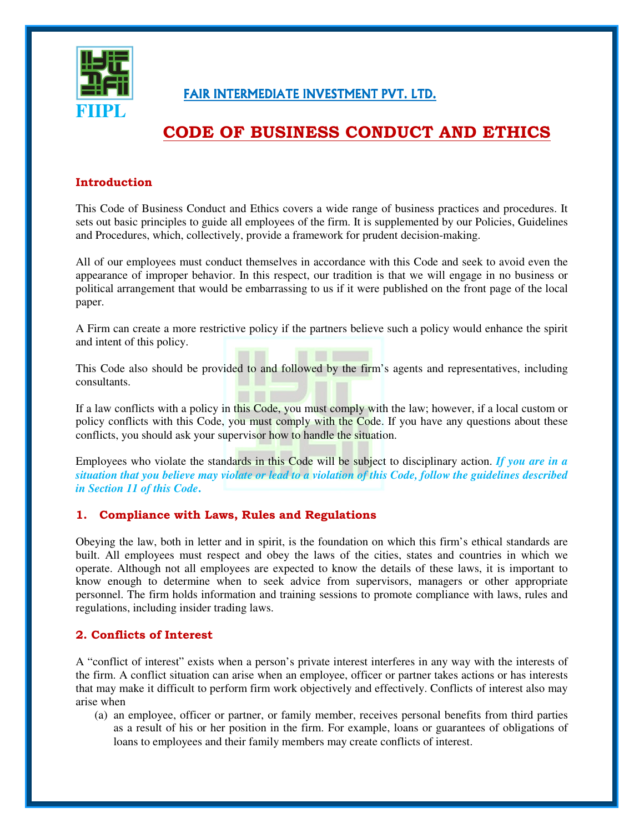

### FAIR INTERMEDIATE INVESTMENT PVT. LTD.

## <u>CODE OF BUSINESS CONDUCT AND ETHICS</u>

#### **Introduction**

This Code of Business Conduct and Ethics covers a wide range of business practices and procedures. It sets out basic principles to guide all employees of the firm. It is supplemented by our Policies, Guidelines and Procedures, which, collectively, provide a framework for prudent decision-making.

All of our employees must conduct themselves in accordance with this Code and seek to avoid even the appearance of improper behavior. In this respect, our tradition is that we will engage in no business or political arrangement that would be embarrassing to us if it were published on the front page of the local paper.

A Firm can create a more restrictive policy if the partners believe such a policy would enhance the spirit and intent of this policy.

This Code also should be provided to and followed by the firm's agents and representatives, including consultants.

If a law conflicts with a policy in this Code, you must comply with the law; however, if a local custom or policy conflicts with this Code, you must comply with the Code. If you have any questions about these conflicts, you should ask your supervisor how to handle the situation.

Employees who violate the standards in this Code will be subject to disciplinary action. *If you are in a* situation that you believe may violate or lead to a violation of this Code, follow the guidelines described *in Section 11 of this Code***.**

#### 1. Compliance with Laws, Rules and Regulations

Obeying the law, both in letter and in spirit, is the foundation on which this firm's ethical standards are built. All employees must respect and obey the laws of the cities, states and countries in which we operate. Although not all employees are expected to know the details of these laws, it is important to know enough to determine when to seek advice from supervisors, managers or other appropriate personnel. The firm holds information and training sessions to promote compliance with laws, rules and regulations, including insider trading laws.

#### 2. Conflicts of Interest

A "conflict of interest" exists when a person's private interest interferes in any way with the interests of the firm. A conflict situation can arise when an employee, officer or partner takes actions or has interests that may make it difficult to perform firm work objectively and effectively. Conflicts of interest also may arise when

(a) an employee, officer or partner, or family member, receives personal benefits from third parties as a result of his or her position in the firm. For example, loans or guarantees of obligations of loans to employees and their family members may create conflicts of interest.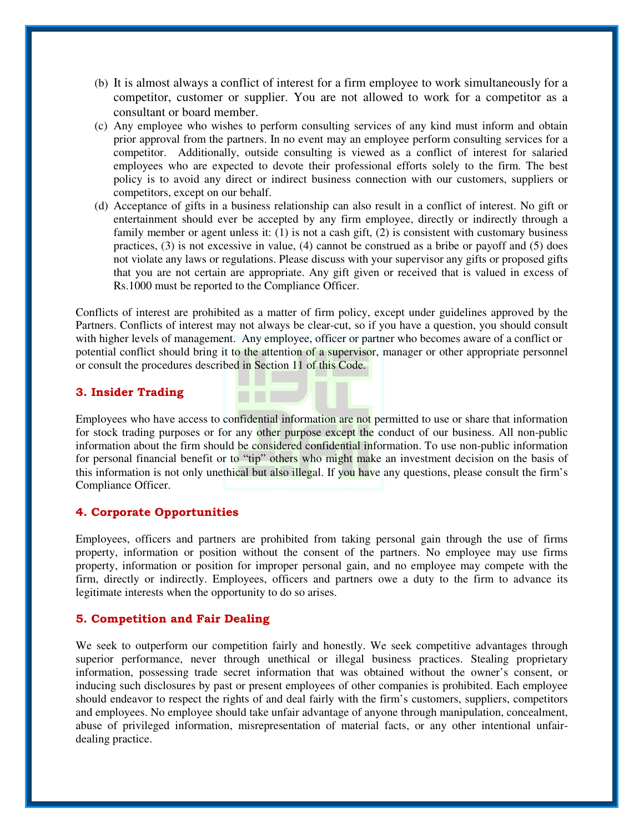- (b) It is almost always a conflict of interest for a firm employee to work simultaneously for a competitor, customer or supplier. You are not allowed to work for a competitor as a consultant or board member.
- (c) Any employee who wishes to perform consulting services of any kind must inform and obtain prior approval from the partners. In no event may an employee perform consulting services for a competitor. Additionally, outside consulting is viewed as a conflict of interest for salaried employees who are expected to devote their professional efforts solely to the firm. The best policy is to avoid any direct or indirect business connection with our customers, suppliers or competitors, except on our behalf.
- (d) Acceptance of gifts in a business relationship can also result in a conflict of interest. No gift or entertainment should ever be accepted by any firm employee, directly or indirectly through a family member or agent unless it: (1) is not a cash gift, (2) is consistent with customary business practices, (3) is not excessive in value, (4) cannot be construed as a bribe or payoff and (5) does not violate any laws or regulations. Please discuss with your supervisor any gifts or proposed gifts that you are not certain are appropriate. Any gift given or received that is valued in excess of Rs.1000 must be reported to the Compliance Officer.

Conflicts of interest are prohibited as a matter of firm policy, except under guidelines approved by the Partners. Conflicts of interest may not always be clear-cut, so if you have a question, you should consult with higher levels of management. Any employee, officer or partner who becomes aware of a conflict or potential conflict should bring it to the attention of a supervisor, manager or other appropriate personnel or consult the procedures described in Section 11 of this Code.

**CONTRACTOR** 

#### 3. Insider Trading

Employees who have access to confidential information are not permitted to use or share that information for stock trading purposes or for any other purpose except the conduct of our business. All non-public information about the firm should be considered confidential information. To use non-public information for personal financial benefit or to "tip" others who might make an investment decision on the basis of this information is not only unethical but also illegal. If you have any questions, please consult the firm's Compliance Officer.

#### 4. Corporate Opportunities

Employees, officers and partners are prohibited from taking personal gain through the use of firms property, information or position without the consent of the partners. No employee may use firms property, information or position for improper personal gain, and no employee may compete with the firm, directly or indirectly. Employees, officers and partners owe a duty to the firm to advance its legitimate interests when the opportunity to do so arises.

#### 5. Competition and Fair Dealing

We seek to outperform our competition fairly and honestly. We seek competitive advantages through superior performance, never through unethical or illegal business practices. Stealing proprietary information, possessing trade secret information that was obtained without the owner's consent, or inducing such disclosures by past or present employees of other companies is prohibited. Each employee should endeavor to respect the rights of and deal fairly with the firm's customers, suppliers, competitors and employees. No employee should take unfair advantage of anyone through manipulation, concealment, abuse of privileged information, misrepresentation of material facts, or any other intentional unfairdealing practice.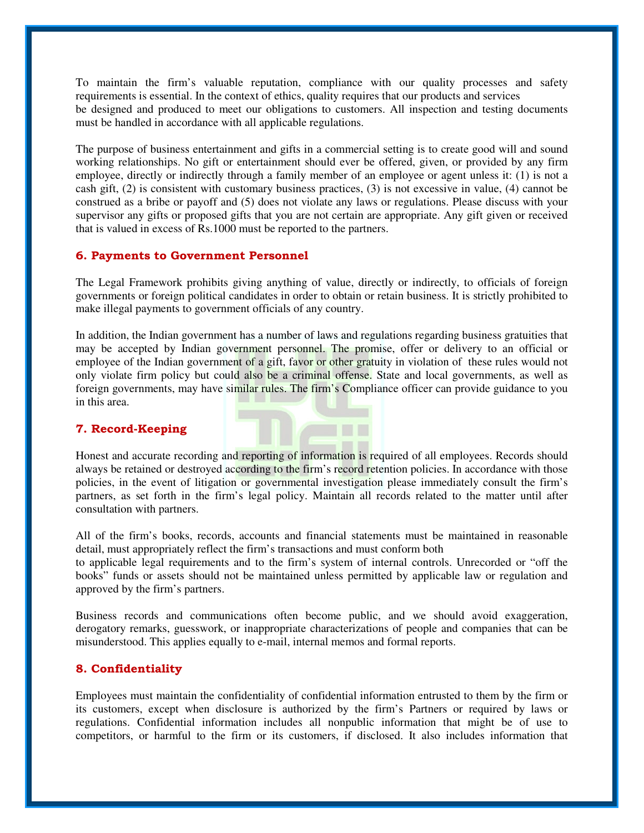To maintain the firm's valuable reputation, compliance with our quality processes and safety requirements is essential. In the context of ethics, quality requires that our products and services be designed and produced to meet our obligations to customers. All inspection and testing documents must be handled in accordance with all applicable regulations.

The purpose of business entertainment and gifts in a commercial setting is to create good will and sound working relationships. No gift or entertainment should ever be offered, given, or provided by any firm employee, directly or indirectly through a family member of an employee or agent unless it: (1) is not a cash gift, (2) is consistent with customary business practices, (3) is not excessive in value, (4) cannot be construed as a bribe or payoff and (5) does not violate any laws or regulations. Please discuss with your supervisor any gifts or proposed gifts that you are not certain are appropriate. Any gift given or received that is valued in excess of Rs.1000 must be reported to the partners.

#### 6. Payments to Government Personnel

The Legal Framework prohibits giving anything of value, directly or indirectly, to officials of foreign governments or foreign political candidates in order to obtain or retain business. It is strictly prohibited to make illegal payments to government officials of any country.

In addition, the Indian government has a number of laws and regulations regarding business gratuities that may be accepted by Indian government personnel. The promise, offer or delivery to an official or employee of the Indian government of a gift, favor or other gratuity in violation of these rules would not only violate firm policy but could also be a criminal offense. State and local governments, as well as foreign governments, may have similar rules. The firm's Compliance officer can provide guidance to you in this area.

#### 7. Record-Keeping



All of the firm's books, records, accounts and financial statements must be maintained in reasonable detail, must appropriately reflect the firm's transactions and must conform both

to applicable legal requirements and to the firm's system of internal controls. Unrecorded or "off the books" funds or assets should not be maintained unless permitted by applicable law or regulation and approved by the firm's partners.

Business records and communications often become public, and we should avoid exaggeration, derogatory remarks, guesswork, or inappropriate characterizations of people and companies that can be misunderstood. This applies equally to e-mail, internal memos and formal reports.

#### 8. Confidentiality

Employees must maintain the confidentiality of confidential information entrusted to them by the firm or its customers, except when disclosure is authorized by the firm's Partners or required by laws or regulations. Confidential information includes all nonpublic information that might be of use to competitors, or harmful to the firm or its customers, if disclosed. It also includes information that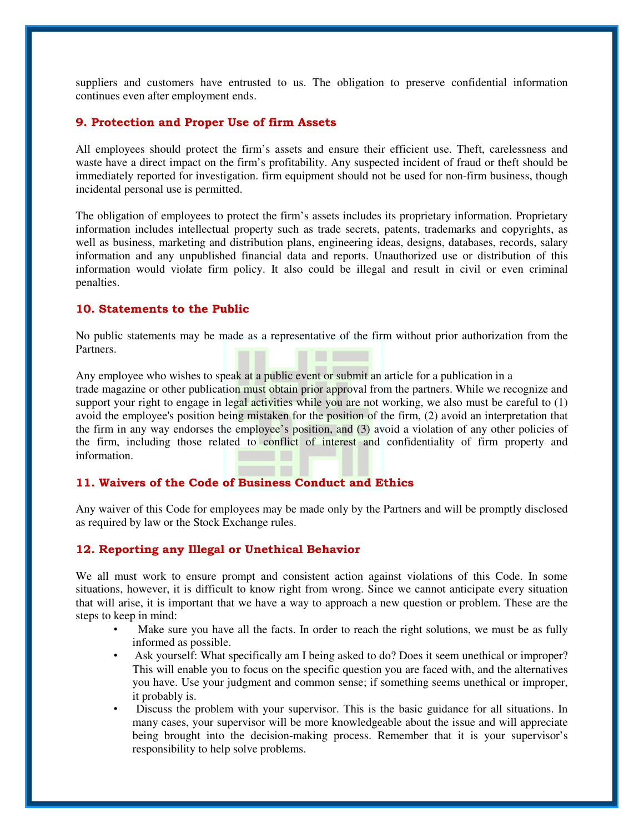suppliers and customers have entrusted to us. The obligation to preserve confidential information continues even after employment ends.

#### 9. Protection and Proper Use of firm Assets

All employees should protect the firm's assets and ensure their efficient use. Theft, carelessness and waste have a direct impact on the firm's profitability. Any suspected incident of fraud or theft should be immediately reported for investigation. firm equipment should not be used for non-firm business, though incidental personal use is permitted.

The obligation of employees to protect the firm's assets includes its proprietary information. Proprietary information includes intellectual property such as trade secrets, patents, trademarks and copyrights, as well as business, marketing and distribution plans, engineering ideas, designs, databases, records, salary information and any unpublished financial data and reports. Unauthorized use or distribution of this information would violate firm policy. It also could be illegal and result in civil or even criminal penalties.

#### 10. Statements to the Public

No public statements may be made as a representative of the firm without prior authorization from the Partners.

Any employee who wishes to speak at a public event or submit an article for a publication in a trade magazine or other publication must obtain prior approval from the partners. While we recognize and support your right to engage in legal activities while you are not working, we also must be careful to  $(1)$ avoid the employee's position being mistaken for the position of the firm, (2) avoid an interpretation that the firm in any way endorses the employee's position, and (3) avoid a violation of any other policies of the firm, including those related to conflict of interest and confidentiality of firm property and information.

#### 11. Waivers of the Code of Business Conduct and Ethics

Any waiver of this Code for employees may be made only by the Partners and will be promptly disclosed as required by law or the Stock Exchange rules.

#### 12. Reporting any Illegal or Unethical Behavior

We all must work to ensure prompt and consistent action against violations of this Code. In some situations, however, it is difficult to know right from wrong. Since we cannot anticipate every situation that will arise, it is important that we have a way to approach a new question or problem. These are the steps to keep in mind:

- Make sure you have all the facts. In order to reach the right solutions, we must be as fully informed as possible.
- Ask yourself: What specifically am I being asked to do? Does it seem unethical or improper? This will enable you to focus on the specific question you are faced with, and the alternatives you have. Use your judgment and common sense; if something seems unethical or improper, it probably is.
- Discuss the problem with your supervisor. This is the basic guidance for all situations. In many cases, your supervisor will be more knowledgeable about the issue and will appreciate being brought into the decision-making process. Remember that it is your supervisor's responsibility to help solve problems.